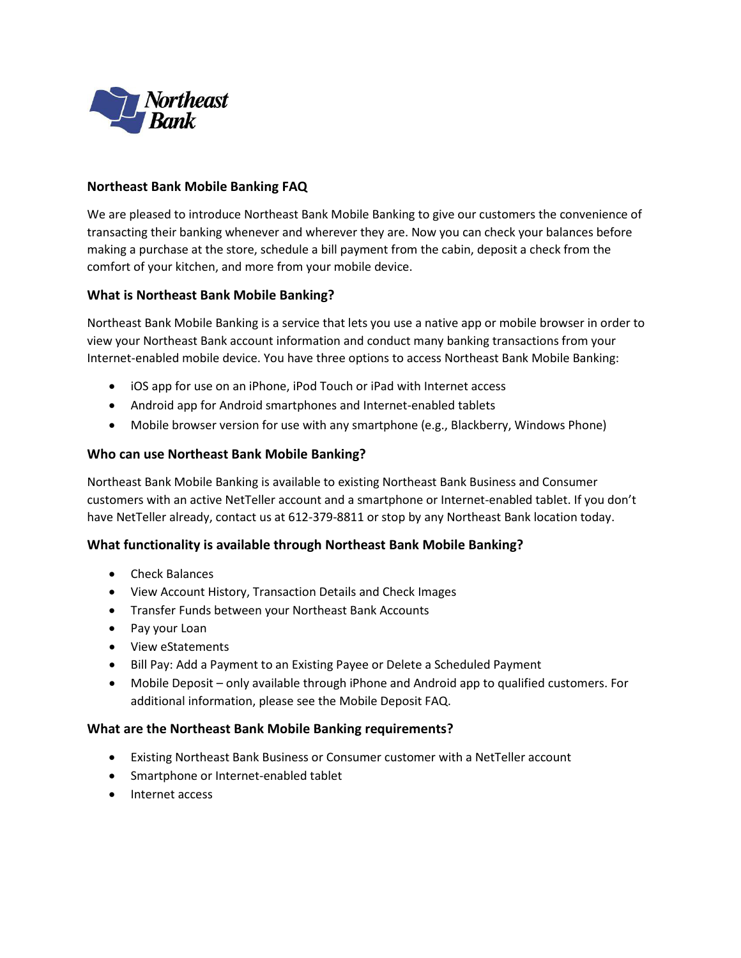

### **Northeast Bank Mobile Banking FAQ**

 making a purchase at the store, schedule a bill payment from the cabin, deposit a check from the comfort of your kitchen, and more from your mobile device. We are pleased to introduce Northeast Bank Mobile Banking to give our customers the convenience of transacting their banking whenever and wherever they are. Now you can check your balances before

### **What is Northeast Bank Mobile Banking?**

 view your Northeast Bank account information and conduct many banking transactions from your Northeast Bank Mobile Banking is a service that lets you use a native app or mobile browser in order to Internet-enabled mobile device. You have three options to access Northeast Bank Mobile Banking:

- iOS app for use on an iPhone, iPod Touch or iPad with Internet access
- Android app for Android smartphones and Internet-enabled tablets
- Mobile browser version for use with any smartphone (e.g., Blackberry, Windows Phone)

#### **Who can use Northeast Bank Mobile Banking?**

 customers with an active NetTeller account and a smartphone or Internet-enabled tablet. If you don't have NetTeller already, contact us at 612-379-8811 or stop by any Northeast Bank location today. Northeast Bank Mobile Banking is available to existing Northeast Bank Business and Consumer

#### **What functionality is available through Northeast Bank Mobile Banking?**

- Check Balances
- View Account History, Transaction Details and Check Images
- Transfer Funds between your Northeast Bank Accounts
- Pay your Loan
- View eStatements
- Bill Pay: Add a Payment to an Existing Payee or Delete a Scheduled Payment
- Mobile Deposit only available through iPhone and Android app to qualified customers. For additional information, please see the Mobile Deposit FAQ.

#### **What are the Northeast Bank Mobile Banking requirements?**

- Existing Northeast Bank Business or Consumer customer with a NetTeller account
- Smartphone or Internet-enabled tablet
- Internet access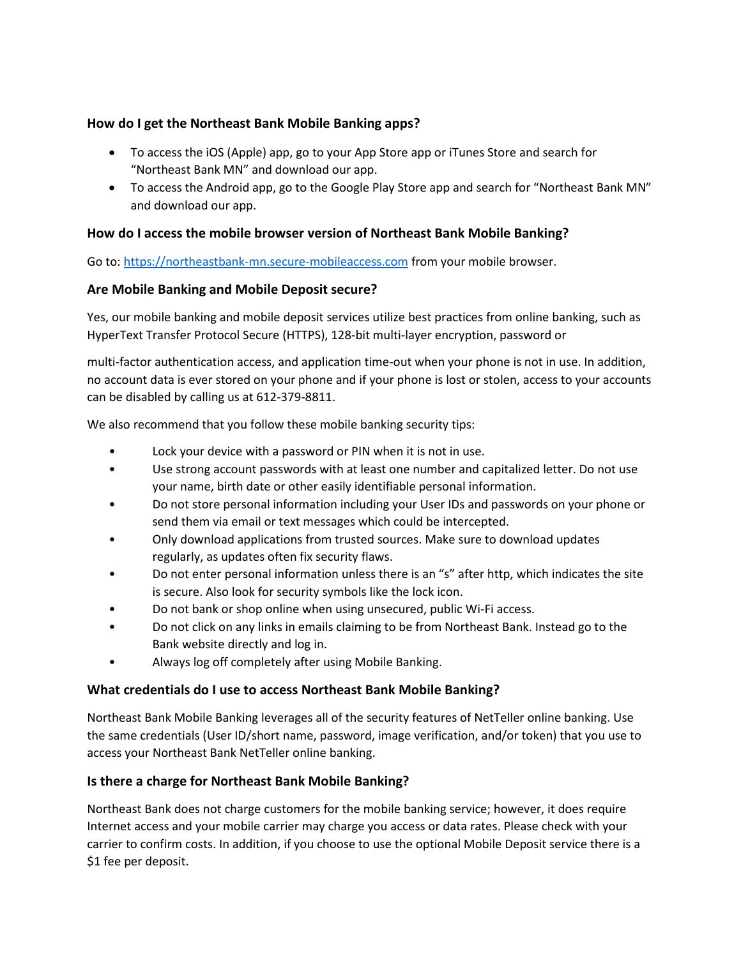# **How do I get the Northeast Bank Mobile Banking apps?**

- To access the iOS (Apple) app, go to your App Store app or iTunes Store and search for "Northeast Bank MN" and download our app.
- To access the Android app, go to the Google Play Store app and search for "Northeast Bank MN" and download our app.

# **How do I access the mobile browser version of Northeast Bank Mobile Banking?**

Go to: [https://northeastbank-mn.secure-mobileaccess.com](https://northeastbank-mn.secure-mobileaccess.com/) from your mobile browser.

## **Are Mobile Banking and Mobile Deposit secure?**

Yes, our mobile banking and mobile deposit services utilize best practices from online banking, such as HyperText Transfer Protocol Secure (HTTPS), 128-bit multi-layer encryption, password or

 multi-factor authentication access, and application time-out when your phone is not in use. In addition, no account data is ever stored on your phone and if your phone is lost or stolen, access to your accounts can be disabled by calling us at 612-379-8811.

We also recommend that you follow these mobile banking security tips:

- Lock your device with a password or PIN when it is not in use.
- • Use strong account passwords with at least one number and capitalized letter. Do not use your name, birth date or other easily identifiable personal information.
- send them via email or text messages which could be intercepted. • Do not store personal information including your User IDs and passwords on your phone or
- regularly, as updates often fix security flaws. • Only download applications from trusted sources. Make sure to download updates
- • Do not enter personal information unless there is an "s" after http, which indicates the site is secure. Also look for security symbols like the lock icon.
- Do not bank or shop online when using unsecured, public Wi-Fi access.
- Do not click on any links in emails claiming to be from Northeast Bank. Instead go to the Bank website directly and log in.
- Always log off completely after using Mobile Banking.

### **What credentials do I use to access Northeast Bank Mobile Banking?**

Northeast Bank Mobile Banking leverages all of the security features of NetTeller online banking. Use the same credentials (User ID/short name, password, image verification, and/or token) that you use to access your Northeast Bank NetTeller online banking.

### **Is there a charge for Northeast Bank Mobile Banking?**

 Northeast Bank does not charge customers for the mobile banking service; however, it does require Internet access and your mobile carrier may charge you access or data rates. Please check with your carrier to confirm costs. In addition, if you choose to use the optional Mobile Deposit service there is a \$1 fee per deposit.